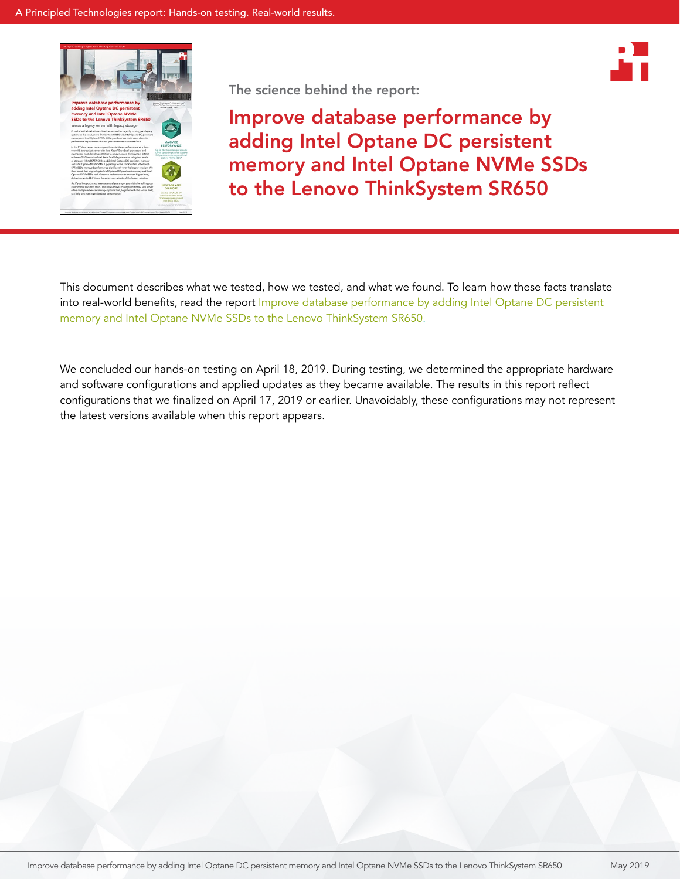



The science behind the report:

Improve database performance by adding Intel Optane DC persistent memory and Intel Optane NVMe SSDs to the Lenovo ThinkSystem SR650

This document describes what we tested, how we tested, and what we found. To learn how these facts translate into real-world benefits, read the report Improve database performance by adding Intel Optane DC persistent [memory and Intel Optane NVMe SSDs to the Lenovo ThinkSystem](http://facts.pt/1mgym04) SR650.

We concluded our hands-on testing on April 18, 2019. During testing, we determined the appropriate hardware and software configurations and applied updates as they became available. The results in this report reflect configurations that we finalized on April 17, 2019 or earlier. Unavoidably, these configurations may not represent the latest versions available when this report appears.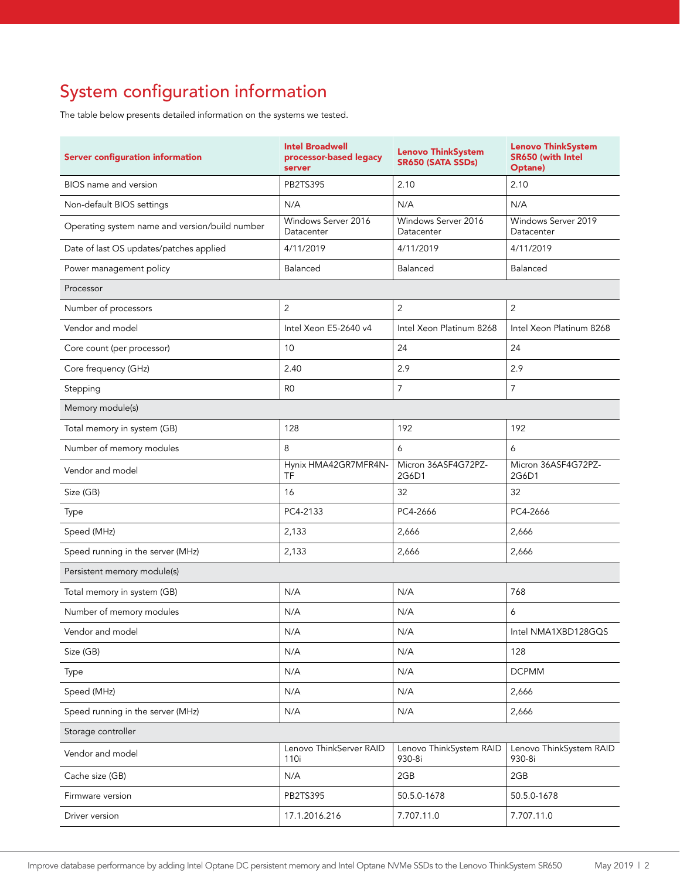# System configuration information

The table below presents detailed information on the systems we tested.

| <b>Server configuration information</b>        | <b>Intel Broadwell</b><br>processor-based legacy<br>server | <b>Lenovo ThinkSystem</b><br>SR650 (SATA SSDs) | <b>Lenovo ThinkSystem</b><br>SR650 (with Intel<br>Optane) |  |
|------------------------------------------------|------------------------------------------------------------|------------------------------------------------|-----------------------------------------------------------|--|
| BIOS name and version                          | <b>PB2TS395</b>                                            | 2.10                                           | 2.10                                                      |  |
| Non-default BIOS settings                      | N/A                                                        | N/A                                            | N/A                                                       |  |
| Operating system name and version/build number | Windows Server 2016<br>Datacenter                          | Windows Server 2016<br>Datacenter              | Windows Server 2019<br>Datacenter                         |  |
| Date of last OS updates/patches applied        | 4/11/2019                                                  | 4/11/2019                                      | 4/11/2019                                                 |  |
| Power management policy                        | Balanced                                                   | Balanced                                       | Balanced                                                  |  |
| Processor                                      |                                                            |                                                |                                                           |  |
| Number of processors                           | $\overline{2}$                                             | 2                                              | $\overline{2}$                                            |  |
| Vendor and model                               | Intel Xeon E5-2640 v4                                      | Intel Xeon Platinum 8268                       | Intel Xeon Platinum 8268                                  |  |
| Core count (per processor)                     | 10                                                         | 24                                             | 24                                                        |  |
| Core frequency (GHz)                           | 2.40                                                       | 2.9                                            | 2.9                                                       |  |
| Stepping                                       | R <sub>0</sub>                                             | $\overline{7}$                                 | $\overline{7}$                                            |  |
| Memory module(s)                               |                                                            |                                                |                                                           |  |
| Total memory in system (GB)                    | 128                                                        | 192                                            | 192                                                       |  |
| Number of memory modules                       | 8                                                          | 6                                              | 6                                                         |  |
| Vendor and model                               | Hynix HMA42GR7MFR4N-<br>TF                                 | Micron 36ASF4G72PZ-<br>2G6D1                   | Micron 36ASF4G72PZ-<br>2G6D1                              |  |
| Size (GB)                                      | 16                                                         | 32                                             | 32                                                        |  |
| Type                                           | PC4-2133                                                   | PC4-2666                                       | PC4-2666                                                  |  |
| Speed (MHz)                                    | 2,133                                                      | 2,666                                          | 2,666                                                     |  |
| Speed running in the server (MHz)              | 2,133                                                      | 2,666                                          | 2,666                                                     |  |
| Persistent memory module(s)                    |                                                            |                                                |                                                           |  |
| Total memory in system (GB)                    | N/A                                                        | N/A                                            | 768                                                       |  |
| Number of memory modules                       | N/A                                                        | N/A                                            | 6                                                         |  |
| Vendor and model                               | N/A                                                        | N/A                                            | Intel NMA1XBD128GQS                                       |  |
| Size (GB)                                      | N/A                                                        | N/A                                            | 128                                                       |  |
| Type                                           | N/A                                                        | N/A                                            | <b>DCPMM</b>                                              |  |
| Speed (MHz)                                    | N/A                                                        | N/A                                            | 2,666                                                     |  |
| Speed running in the server (MHz)              | N/A                                                        | N/A                                            | 2,666                                                     |  |
| Storage controller                             |                                                            |                                                |                                                           |  |
| Vendor and model                               | Lenovo ThinkServer RAID<br>110i                            | Lenovo ThinkSystem RAID<br>930-8i              | Lenovo ThinkSystem RAID<br>930-8i                         |  |
| Cache size (GB)                                | N/A                                                        | 2GB                                            | 2GB                                                       |  |
| Firmware version                               | PB2TS395                                                   | 50.5.0-1678                                    | 50.5.0-1678                                               |  |
| Driver version                                 | 17.1.2016.216                                              | 7.707.11.0                                     | 7.707.11.0                                                |  |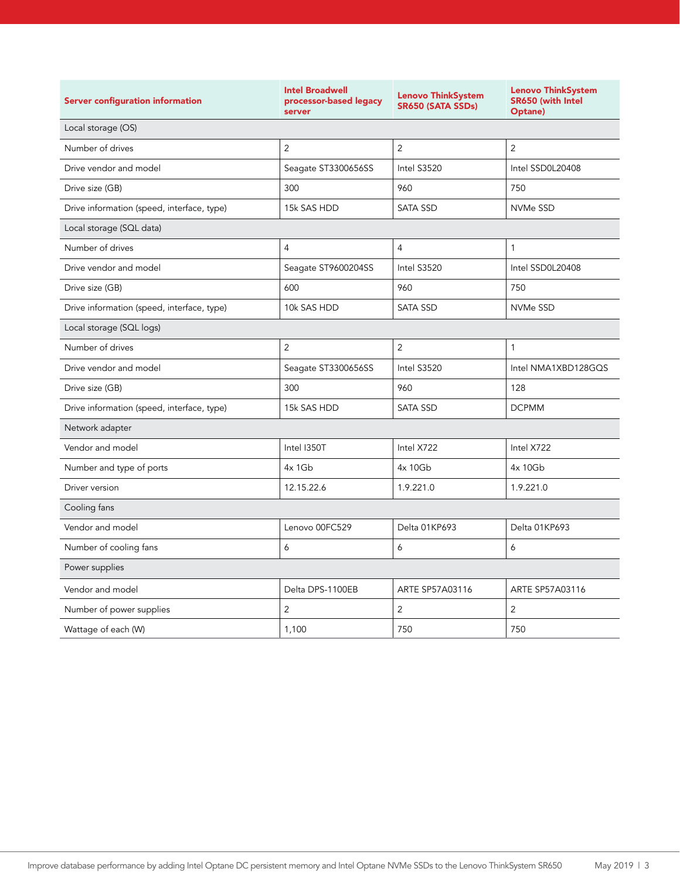| <b>Server configuration information</b>    | <b>Intel Broadwell</b><br>processor-based legacy<br>server | <b>Lenovo ThinkSystem</b><br>SR650 (SATA SSDs) | <b>Lenovo ThinkSystem</b><br><b>SR650 (with Intel</b><br>Optane) |  |
|--------------------------------------------|------------------------------------------------------------|------------------------------------------------|------------------------------------------------------------------|--|
| Local storage (OS)                         |                                                            |                                                |                                                                  |  |
| Number of drives                           | $\overline{2}$                                             | $\overline{2}$                                 | $\overline{2}$                                                   |  |
| Drive vendor and model                     | Seagate ST3300656SS                                        | Intel S3520                                    | Intel SSD0L20408                                                 |  |
| Drive size (GB)                            | 300                                                        | 960                                            | 750                                                              |  |
| Drive information (speed, interface, type) | 15k SAS HDD                                                | <b>SATA SSD</b>                                | NVMe SSD                                                         |  |
| Local storage (SQL data)                   |                                                            |                                                |                                                                  |  |
| Number of drives                           | $\overline{4}$                                             | $\overline{4}$                                 | $\mathbf{1}$                                                     |  |
| Drive vendor and model                     | Seagate ST9600204SS                                        | Intel S3520                                    | Intel SSD0L20408                                                 |  |
| Drive size (GB)                            | 600                                                        | 960                                            | 750                                                              |  |
| Drive information (speed, interface, type) | 10k SAS HDD                                                | <b>SATA SSD</b>                                | NVMe SSD                                                         |  |
| Local storage (SQL logs)                   |                                                            |                                                |                                                                  |  |
| Number of drives                           | $\overline{2}$                                             | $\overline{2}$                                 | $\mathbf{1}$                                                     |  |
| Drive vendor and model                     | Seagate ST3300656SS                                        | Intel S3520                                    | Intel NMA1XBD128GQS                                              |  |
| Drive size (GB)                            | 300                                                        | 960                                            | 128                                                              |  |
| Drive information (speed, interface, type) | 15k SAS HDD                                                | <b>SATA SSD</b>                                | <b>DCPMM</b>                                                     |  |
| Network adapter                            |                                                            |                                                |                                                                  |  |
| Vendor and model                           | Intel I350T                                                | Intel X722                                     | Intel X722                                                       |  |
| Number and type of ports                   | $4x$ 1Gb                                                   | 4x 10Gb                                        | 4x 10Gb                                                          |  |
| Driver version                             | 12.15.22.6                                                 | 1.9.221.0                                      | 1.9.221.0                                                        |  |
| Cooling fans                               |                                                            |                                                |                                                                  |  |
| Vendor and model                           | Lenovo 00FC529                                             | Delta 01KP693                                  | Delta 01KP693                                                    |  |
| Number of cooling fans                     | 6                                                          | 6                                              | 6                                                                |  |
| Power supplies                             |                                                            |                                                |                                                                  |  |
| Vendor and model                           | Delta DPS-1100EB                                           | ARTE SP57A03116                                | ARTE SP57A03116                                                  |  |
| Number of power supplies                   | 2                                                          | 2                                              | 2                                                                |  |
| Wattage of each (W)                        | 1,100                                                      | 750                                            | 750                                                              |  |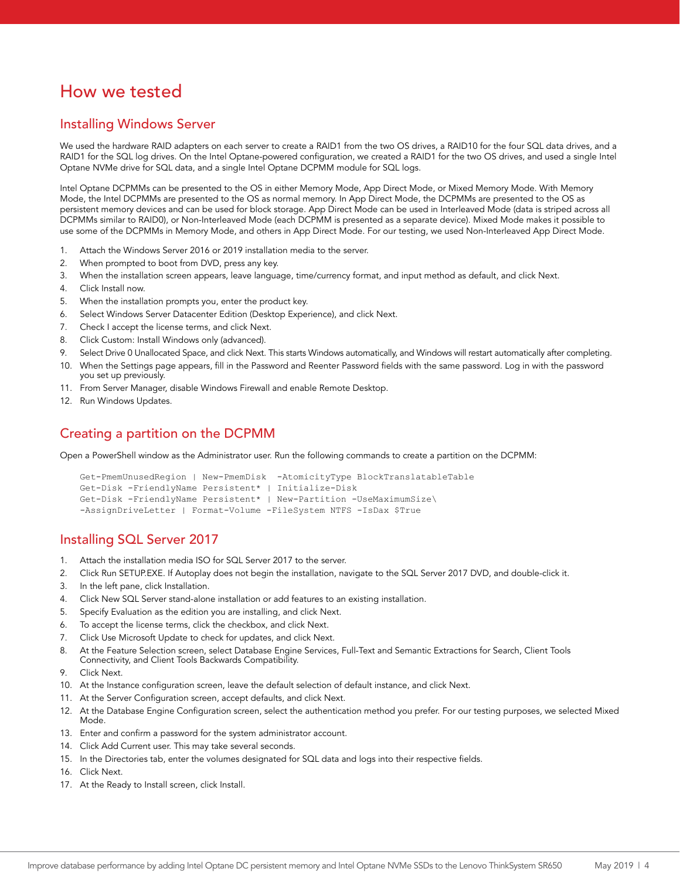## How we tested

### Installing Windows Server

We used the hardware RAID adapters on each server to create a RAID1 from the two OS drives, a RAID10 for the four SQL data drives, and a RAID1 for the SQL log drives. On the Intel Optane-powered configuration, we created a RAID1 for the two OS drives, and used a single Intel Optane NVMe drive for SQL data, and a single Intel Optane DCPMM module for SQL logs.

Intel Optane DCPMMs can be presented to the OS in either Memory Mode, App Direct Mode, or Mixed Memory Mode. With Memory Mode, the Intel DCPMMs are presented to the OS as normal memory. In App Direct Mode, the DCPMMs are presented to the OS as persistent memory devices and can be used for block storage. App Direct Mode can be used in Interleaved Mode (data is striped across all DCPMMs similar to RAID0), or Non-Interleaved Mode (each DCPMM is presented as a separate device). Mixed Mode makes it possible to use some of the DCPMMs in Memory Mode, and others in App Direct Mode. For our testing, we used Non-Interleaved App Direct Mode.

- 1. Attach the Windows Server 2016 or 2019 installation media to the server.
- 2. When prompted to boot from DVD, press any key.
- 3. When the installation screen appears, leave language, time/currency format, and input method as default, and click Next.
- 4. Click Install now.
- 5. When the installation prompts you, enter the product key.
- 6. Select Windows Server Datacenter Edition (Desktop Experience), and click Next.
- 7. Check I accept the license terms, and click Next.
- 8. Click Custom: Install Windows only (advanced).
- 9. Select Drive 0 Unallocated Space, and click Next. This starts Windows automatically, and Windows will restart automatically after completing.
- 10. When the Settings page appears, fill in the Password and Reenter Password fields with the same password. Log in with the password you set up previously.
- 11. From Server Manager, disable Windows Firewall and enable Remote Desktop.
- 12. Run Windows Updates.

## Creating a partition on the DCPMM

Open a PowerShell window as the Administrator user. Run the following commands to create a partition on the DCPMM:

```
Get-PmemUnusedRegion | New-PmemDisk -AtomicityType BlockTranslatableTable
Get-Disk -FriendlyName Persistent* | Initialize-Disk
Get-Disk -FriendlyName Persistent* | New-Partition -UseMaximumSize\
-AssignDriveLetter | Format-Volume -FileSystem NTFS -IsDax $True
```
### Installing SQL Server 2017

- 1. Attach the installation media ISO for SQL Server 2017 to the server.
- 2. Click Run SETUP.EXE. If Autoplay does not begin the installation, navigate to the SQL Server 2017 DVD, and double-click it.
- 3. In the left pane, click Installation.
- 4. Click New SQL Server stand-alone installation or add features to an existing installation.
- 5. Specify Evaluation as the edition you are installing, and click Next.
- 6. To accept the license terms, click the checkbox, and click Next.
- 7. Click Use Microsoft Update to check for updates, and click Next.
- 8. At the Feature Selection screen, select Database Engine Services, Full-Text and Semantic Extractions for Search, Client Tools Connectivity, and Client Tools Backwards Compatibility.
- 9. Click Next.
- 10. At the Instance configuration screen, leave the default selection of default instance, and click Next.
- 11. At the Server Configuration screen, accept defaults, and click Next.
- 12. At the Database Engine Configuration screen, select the authentication method you prefer. For our testing purposes, we selected Mixed Mode.
- 13. Enter and confirm a password for the system administrator account.
- 14. Click Add Current user. This may take several seconds.
- 15. In the Directories tab, enter the volumes designated for SQL data and logs into their respective fields.
- 16. Click Next.
- 17. At the Ready to Install screen, click Install.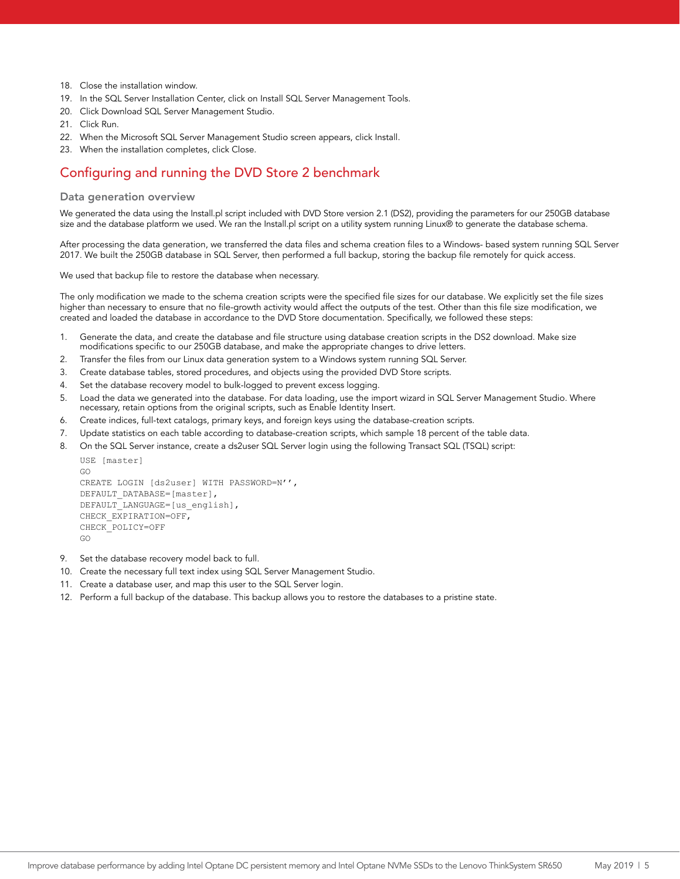- 18. Close the installation window.
- 19. In the SQL Server Installation Center, click on Install SQL Server Management Tools.
- 20. Click Download SQL Server Management Studio.
- 21. Click Run.
- 22. When the Microsoft SQL Server Management Studio screen appears, click Install.
- 23. When the installation completes, click Close.

## Configuring and running the DVD Store 2 benchmark

#### Data generation overview

We generated the data using the Install.pl script included with DVD Store version 2.1 (DS2), providing the parameters for our 250GB database size and the database platform we used. We ran the Install.pl script on a utility system running Linux® to generate the database schema.

After processing the data generation, we transferred the data files and schema creation files to a Windows- based system running SQL Server 2017. We built the 250GB database in SQL Server, then performed a full backup, storing the backup file remotely for quick access.

We used that backup file to restore the database when necessary.

The only modification we made to the schema creation scripts were the specified file sizes for our database. We explicitly set the file sizes higher than necessary to ensure that no file-growth activity would affect the outputs of the test. Other than this file size modification, we created and loaded the database in accordance to the DVD Store documentation. Specifically, we followed these steps:

- 1. Generate the data, and create the database and file structure using database creation scripts in the DS2 download. Make size modifications specific to our 250GB database, and make the appropriate changes to drive letters.
- 2. Transfer the files from our Linux data generation system to a Windows system running SQL Server.
- 3. Create database tables, stored procedures, and objects using the provided DVD Store scripts.
- 4. Set the database recovery model to bulk-logged to prevent excess logging.
- 5. Load the data we generated into the database. For data loading, use the import wizard in SQL Server Management Studio. Where necessary, retain options from the original scripts, such as Enable Identity Insert.
- 6. Create indices, full-text catalogs, primary keys, and foreign keys using the database-creation scripts.
- 7. Update statistics on each table according to database-creation scripts, which sample 18 percent of the table data.
- 8. On the SQL Server instance, create a ds2user SQL Server login using the following Transact SQL (TSQL) script:

```
USE [master] 
GO 
CREATE LOGIN [ds2user] WITH PASSWORD=N'', 
DEFAULT_DATABASE=[master],
DEFAULT_LANGUAGE=[us_english],
CHECK_EXPIRATION=OFF, 
CHECK_POLICY=OFF 
GO
```
- 9. Set the database recovery model back to full.
- 10. Create the necessary full text index using SQL Server Management Studio.
- 11. Create a database user, and map this user to the SQL Server login.
- 12. Perform a full backup of the database. This backup allows you to restore the databases to a pristine state.